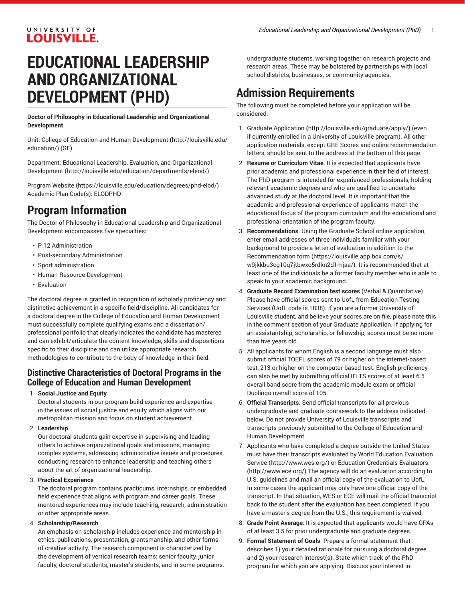#### UNIVERSITY OF **LOUISVILLE.**

# **EDUCATIONAL LEADERSHIP AND ORGANIZATIONAL DEVELOPMENT (PHD)**

**Doctor of Philosophy in Educational Leadership and Organizational Development**

Unit: College of Education and Human [Development \(http://louisville.edu/](http://louisville.edu/education/) [education/](http://louisville.edu/education/)) (GE)

Department: Educational Leadership, Evaluation, and [Organizational](http://louisville.edu/education/departments/eleod/) [Development](http://louisville.edu/education/departments/eleod/) ([http://louisville.edu/education/departments/eleod/\)](http://louisville.edu/education/departments/eleod/)

[Program](https://louisville.edu/education/degrees/phd-elod/) Website [\(https://louisville.edu/education/degrees/phd-elod/\)](https://louisville.edu/education/degrees/phd-elod/) Academic Plan Code(s): ELODPHD

### **Program Information**

The Doctor of Philosophy in Educational Leadership and Organizational Development encompasses five specialties:

- P-12 Administration
- Post-secondary Administration
- Sport administration
- Human Resource Development
- Evaluation

The doctoral degree is granted in recognition of scholarly proficiency and distinctive achievement in a specific field/discipline. All candidates for a doctoral degree in the College of Education and Human Development must successfully complete qualifying exams and a dissertation/ professional portfolio that clearly indicates the candidate has mastered and can exhibit/articulate the content knowledge, skills and dispositions specific to their discipline and can utilize appropriate research methodologies to contribute to the body of knowledge in their field.

#### **Distinctive Characteristics of Doctoral Programs in the College of Education and Human Development**

1. **Social Justice and Equity**

Doctoral students in our program build experience and expertise in the issues of social justice and equity which aligns with our metropolitan mission and focus on student achievement.

2. **Leadership**

Our doctoral students gain expertise in supervising and leading others to achieve organizational goals and missions, managing complex systems, addressing administrative issues and procedures, conducting research to enhance leadership and teaching others about the art of organizational leadership.

3. **Practical Experience**

The doctoral program contains practicums, internships, or embedded field experience that aligns with program and career goals. These mentored experiences may include teaching, research, administration or other appropriate areas.

#### 4. **Scholarship/Research**

An emphasis on scholarship includes experience and mentorship in ethics, publications, presentation, grantsmanship, and other forms of creative activity. The research component is characterized by the development of vertical research teams: senior faculty, junior faculty, doctoral students, master's students, and in some programs, undergraduate students, working together on research projects and research areas. These may be bolstered by partnerships with local school districts, businesses, or community agencies.

### **Admission Requirements**

The following must be completed before your application will be considered:

- 1. [Graduate Application](http://louisville.edu/graduate/apply/) **(**<http://louisville.edu/graduate/apply/>**)** (even if currently enrolled in a University of Louisville program). All other application materials, except GRE Scores and online recommendation letters, should be sent to the address at the bottom of this page.
- 2. **Resume or Curriculum Vitae**. It is expected that applicants have prior academic and professional experience in their field of interest. The PhD program is intended for experienced professionals, holding relevant academic degrees and who are qualified to undertake advanced study at the doctoral level. It is important that the academic and professional experience of applicants match the educational focus of the program curriculum and the educational and professional orientation of the program faculty.
- 3. **Recommendations**. Using the Graduate School online application, enter email addresses of three individuals familiar with your background to provide a letter of evaluation in addition to the [Recommendation form](https://louisville.app.box.com/s/w9jkkbu3cg10q7jtbwxo5rdkn2d1mjaa/) ([https://louisville.app.box.com/s/](https://louisville.app.box.com/s/w9jkkbu3cg10q7jtbwxo5rdkn2d1mjaa/) [w9jkkbu3cg10q7jtbwxo5rdkn2d1mjaa/](https://louisville.app.box.com/s/w9jkkbu3cg10q7jtbwxo5rdkn2d1mjaa/)). It is recommended that at least one of the individuals be a former faculty member who is able to speak to your academic background.
- 4. **Graduate Record Examination test scores** (Verbal & Quantitative). Please have official scores sent to UofL from Education Testing Services (UofL code is 1838). If you are a former University of Louisville student, and believe your scores are on file, please note this in the comment section of your Graduate Application. If applying for an assistantship, scholarship, or fellowship, scores must be no more than five years old.
- 5. All applicants for whom English is a second language must also submit official TOEFL scores of 79 or higher on the internet-based test, 213 or higher on the computer-based test. English proficiency can also be met by submitting official IELTS scores of at least 6.5 overall band score from the academic module exam or official Duolingo overall score of 105.
- 6. **Official Transcripts**. Send official transcripts for all previous undergraduate and graduate coursework to the address indicated below. Do not provide University of Louisville transcripts and transcripts previously submitted to the College of Education and Human Development.
- 7. Applicants who have completed a degree outside the United States must have their transcripts evaluated by World Education [Evaluation](http://www.wes.org/) [Service](http://www.wes.org/) (<http://www.wes.org/>) or Education [Credentials](http://www.ece.org/) Evaluators. [\(http://www.ece.org/](http://www.ece.org/)) The agency will do an evaluation according to U.S. guidelines and mail an official copy of the evaluation to UofL. In some cases the applicant may only have one official copy of the transcript. In that situation, WES or ECE will mail the official transcript back to the student after the evaluation has been completed. If you have a master's degree from the U.S., this requirement is waived.
- 8. **Grade Point Average**: It is expected that applicants would have GPAs of at least 3.5 for prior undergraduate and graduate degrees.
- 9. **Formal Statement of Goals**. Prepare a formal statement that describes 1) your detailed rationale for pursuing a doctoral degree and 2) your research interest(s). State which track of the PhD program for which you are applying. Discuss your interest in